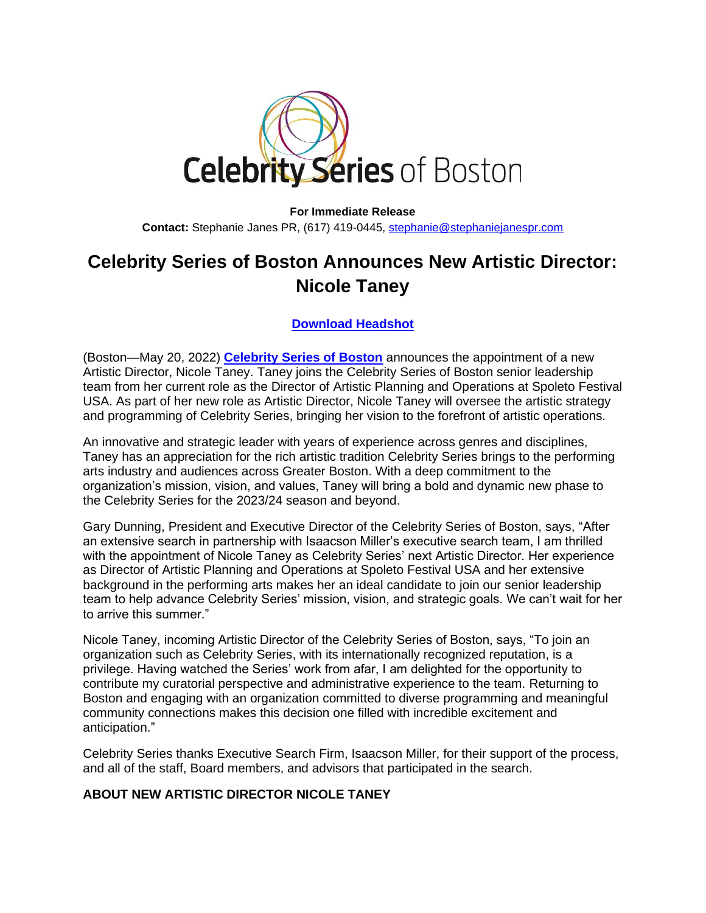

## **For Immediate Release Contact:** Stephanie Janes PR, (617) 419-0445, [stephanie@stephaniejanespr.com](mailto:stephanie@stephaniejanespr.com)

## **Celebrity Series of Boston Announces New Artistic Director: Nicole Taney**

**[Download Headshot](https://photos.celebrityseries.org/images/NicoleTaney_00527.jpg)**

(Boston—May 20, 2022) **[Celebrity Series of Boston](https://www.celebrityseries.org/)** announces the appointment of a new Artistic Director, Nicole Taney. Taney joins the Celebrity Series of Boston senior leadership team from her current role as the Director of Artistic Planning and Operations at Spoleto Festival USA. As part of her new role as Artistic Director, Nicole Taney will oversee the artistic strategy and programming of Celebrity Series, bringing her vision to the forefront of artistic operations.

An innovative and strategic leader with years of experience across genres and disciplines, Taney has an appreciation for the rich artistic tradition Celebrity Series brings to the performing arts industry and audiences across Greater Boston. With a deep commitment to the organization's mission, vision, and values, Taney will bring a bold and dynamic new phase to the Celebrity Series for the 2023/24 season and beyond.

Gary Dunning, President and Executive Director of the Celebrity Series of Boston, says, "After an extensive search in partnership with Isaacson Miller's executive search team, I am thrilled with the appointment of Nicole Taney as Celebrity Series' next Artistic Director. Her experience as Director of Artistic Planning and Operations at Spoleto Festival USA and her extensive background in the performing arts makes her an ideal candidate to join our senior leadership team to help advance Celebrity Series' mission, vision, and strategic goals. We can't wait for her to arrive this summer."

Nicole Taney, incoming Artistic Director of the Celebrity Series of Boston, says, "To join an organization such as Celebrity Series, with its internationally recognized reputation, is a privilege. Having watched the Series' work from afar, I am delighted for the opportunity to contribute my curatorial perspective and administrative experience to the team. Returning to Boston and engaging with an organization committed to diverse programming and meaningful community connections makes this decision one filled with incredible excitement and anticipation."

Celebrity Series thanks Executive Search Firm, Isaacson Miller, for their support of the process, and all of the staff, Board members, and advisors that participated in the search.

## **ABOUT NEW ARTISTIC DIRECTOR NICOLE TANEY**